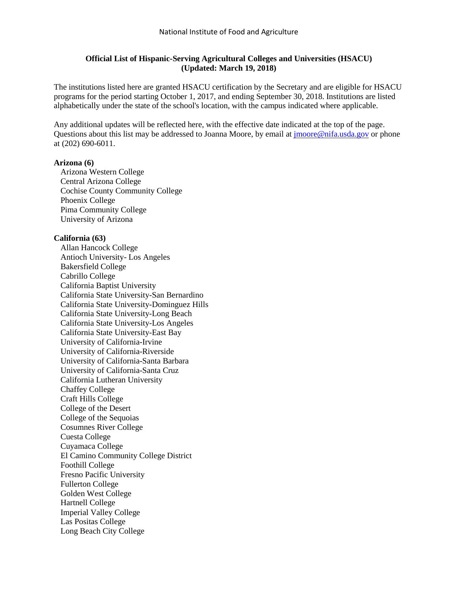# **Official List of Hispanic-Serving Agricultural Colleges and Universities (HSACU) (Updated: March 19, 2018)**

The institutions listed here are granted HSACU certification by the Secretary and are eligible for HSACU programs for the period starting October 1, 2017, and ending September 30, 2018. Institutions are listed alphabetically under the state of the school's location, with the campus indicated where applicable.

Any additional updates will be reflected here, with the effective date indicated at the top of the page. Questions about this list may be addressed to Joanna Moore, by email at [jmoore@nifa.usda.gov](mailto:jmoore@nifa.usda.gov) or phone at (202) 690-6011.

### **Arizona (6)**

Arizona Western College Central Arizona College Cochise County Community College Phoenix College Pima Community College University of Arizona

# **California (63)**

Allan Hancock College Antioch University- Los Angeles Bakersfield College Cabrillo College California Baptist University California State University-San Bernardino California State University-Dominguez Hills California State University-Long Beach California State University-Los Angeles California State University-East Bay University of California-Irvine University of California-Riverside University of California-Santa Barbara University of California-Santa Cruz California Lutheran University Chaffey College Craft Hills College College of the Desert College of the Sequoias Cosumnes River College Cuesta College Cuyamaca College El Camino Community College District Foothill College Fresno Pacific University Fullerton College Golden West College Hartnell College Imperial Valley College Las Positas College Long Beach City College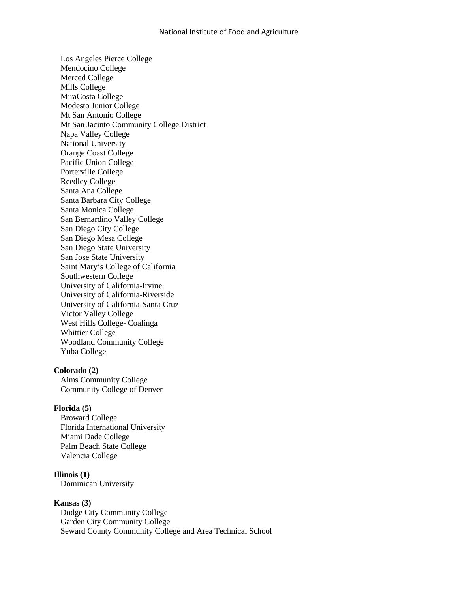Los Angeles Pierce College Mendocino College Merced College Mills College MiraCosta College Modesto Junior College Mt San Antonio College Mt San Jacinto Community College District Napa Valley College National University Orange Coast College Pacific Union College Porterville College Reedley College Santa Ana College Santa Barbara City College Santa Monica College San Bernardino Valley College San Diego City College San Diego Mesa College San Diego State University San Jose State University Saint Mary's College of California Southwestern College University of California-Irvine University of California-Riverside University of California-Santa Cruz Victor Valley College West Hills College- Coalinga Whittier College Woodland Community College Yuba College

**Colorado (2)** Aims Community College Community College of Denver

### **Florida (5)**

Broward College Florida International University Miami Dade College Palm Beach State College Valencia College

**Illinois (1)** Dominican University

### **Kansas (3)**

Dodge City Community College Garden City Community College Seward County Community College and Area Technical School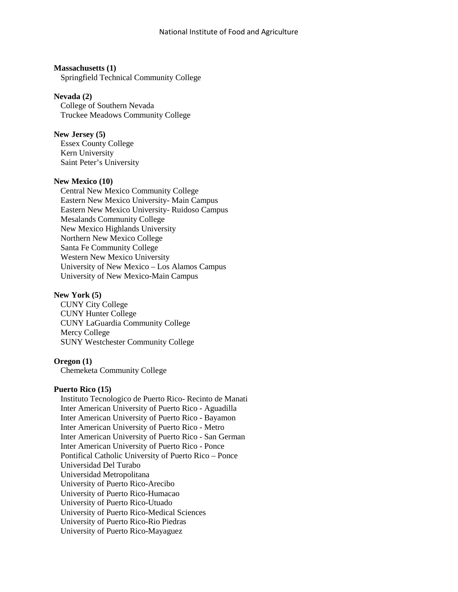#### **Massachusetts (1)**

Springfield Technical Community College

#### **Nevada (2)**

College of Southern Nevada Truckee Meadows Community College

#### **New Jersey (5)**

Essex County College Kern University Saint Peter's University

#### **New Mexico (10)**

Central New Mexico Community College Eastern New Mexico University- Main Campus Eastern New Mexico University- Ruidoso Campus Mesalands Community College New Mexico Highlands University Northern New Mexico College Santa Fe Community College Western New Mexico University University of New Mexico – Los Alamos Campus University of New Mexico-Main Campus

#### **New York (5)**

CUNY City College CUNY Hunter College CUNY LaGuardia Community College Mercy College SUNY Westchester Community College

# **Oregon (1)**

Chemeketa Community College

### **Puerto Rico (15)**

Instituto Tecnologico de Puerto Rico- Recinto de Manati Inter American University of Puerto Rico - Aguadilla Inter American University of Puerto Rico - Bayamon Inter American University of Puerto Rico - Metro Inter American University of Puerto Rico - San German Inter American University of Puerto Rico - Ponce Pontifical Catholic University of Puerto Rico – Ponce Universidad Del Turabo Universidad Metropolitana University of Puerto Rico-Arecibo University of Puerto Rico-Humacao University of Puerto Rico-Utuado University of Puerto Rico-Medical Sciences University of Puerto Rico-Rio Piedras University of Puerto Rico-Mayaguez